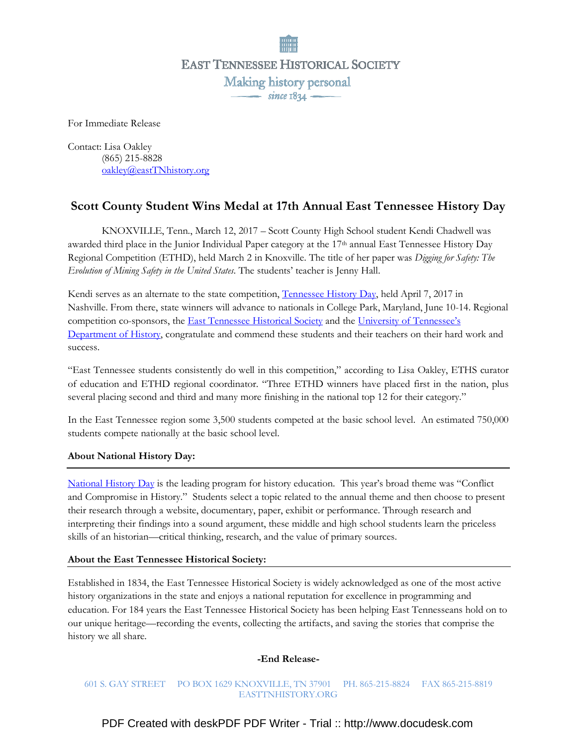**EAST TENNESSEE HISTORICAL SOCIETY** Making history personal  $\frac{1}{\text{since } 1834}$ 

For Immediate Release

Contact: Lisa Oakley (865) 215-8828 oakley@eastTNhistory.org

# Scott County Student Wins Medal at 17th Annual East Tennessee History Day

 KNOXVILLE, Tenn., March 12, 2017 – Scott County High School student Kendi Chadwell was awarded third place in the Junior Individual Paper category at the  $17<sup>th</sup>$  annual East Tennessee History Day Regional Competition (ETHD), held March 2 in Knoxville. The title of her paper was Digging for Safety: The Evolution of Mining Safety in the United States. The students' teacher is Jenny Hall.

Kendi serves as an alternate to the state competition, Tennessee History Day, held April 7, 2017 in Nashville. From there, state winners will advance to nationals in College Park, Maryland, June 10-14. Regional competition co-sponsors, the **East Tennessee Historical Society** and the *University of Tennessee's* Department of History, congratulate and commend these students and their teachers on their hard work and success.

"East Tennessee students consistently do well in this competition," according to Lisa Oakley, ETHS curator of education and ETHD regional coordinator. "Three ETHD winners have placed first in the nation, plus several placing second and third and many more finishing in the national top 12 for their category."

In the East Tennessee region some 3,500 students competed at the basic school level. An estimated 750,000 students compete nationally at the basic school level.

## About National History Day:

National History Day is the leading program for history education. This year's broad theme was "Conflict and Compromise in History." Students select a topic related to the annual theme and then choose to present their research through a website, documentary, paper, exhibit or performance. Through research and interpreting their findings into a sound argument, these middle and high school students learn the priceless skills of an historian—critical thinking, research, and the value of primary sources.

### About the East Tennessee Historical Society:

Established in 1834, the East Tennessee Historical Society is widely acknowledged as one of the most active history organizations in the state and enjoys a national reputation for excellence in programming and education. For 184 years the East Tennessee Historical Society has been helping East Tennesseans hold on to our unique heritage—recording the events, collecting the artifacts, and saving the stories that comprise the history we all share.

### -End Release-

### 601 S. GAY STREET PO BOX 1629 KNOXVILLE, TN 37901 PH. 865-215-8824 FAX 865-215-8819 EASTTNHISTORY.ORG

[PDF Created with deskPDF PDF Writer - Trial :: http://www.docudesk.com](http://www.docudesk.com)